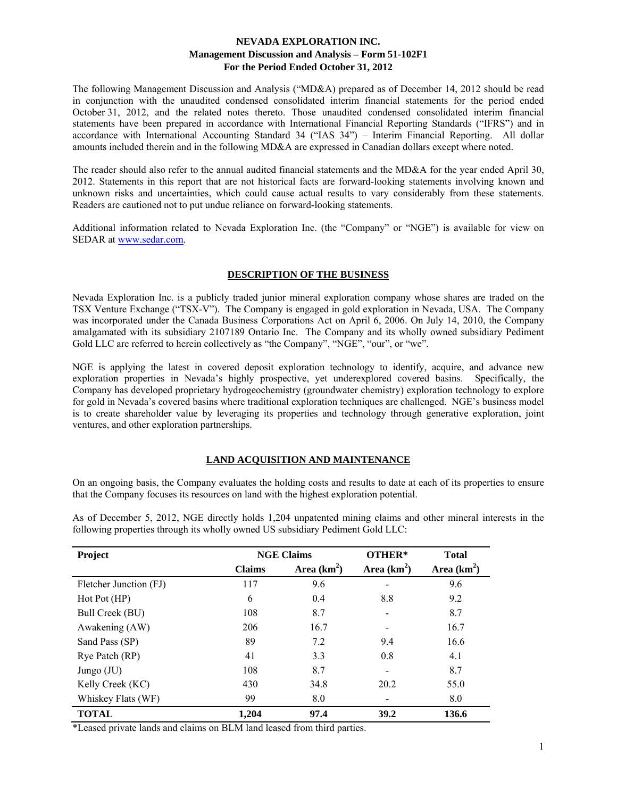The following Management Discussion and Analysis ("MD&A) prepared as of December 14, 2012 should be read in conjunction with the unaudited condensed consolidated interim financial statements for the period ended October 31, 2012, and the related notes thereto. Those unaudited condensed consolidated interim financial statements have been prepared in accordance with International Financial Reporting Standards ("IFRS") and in accordance with International Accounting Standard 34 ("IAS 34") – Interim Financial Reporting. All dollar amounts included therein and in the following MD&A are expressed in Canadian dollars except where noted.

The reader should also refer to the annual audited financial statements and the MD&A for the year ended April 30, 2012. Statements in this report that are not historical facts are forward-looking statements involving known and unknown risks and uncertainties, which could cause actual results to vary considerably from these statements. Readers are cautioned not to put undue reliance on forward-looking statements.

Additional information related to Nevada Exploration Inc. (the "Company" or "NGE") is available for view on SEDAR at www.sedar.com.

# **DESCRIPTION OF THE BUSINESS**

Nevada Exploration Inc. is a publicly traded junior mineral exploration company whose shares are traded on the TSX Venture Exchange ("TSX-V"). The Company is engaged in gold exploration in Nevada, USA. The Company was incorporated under the Canada Business Corporations Act on April 6, 2006. On July 14, 2010, the Company amalgamated with its subsidiary 2107189 Ontario Inc. The Company and its wholly owned subsidiary Pediment Gold LLC are referred to herein collectively as "the Company", "NGE", "our", or "we".

NGE is applying the latest in covered deposit exploration technology to identify, acquire, and advance new exploration properties in Nevada's highly prospective, yet underexplored covered basins. Specifically, the Company has developed proprietary hydrogeochemistry (groundwater chemistry) exploration technology to explore for gold in Nevada's covered basins where traditional exploration techniques are challenged. NGE's business model is to create shareholder value by leveraging its properties and technology through generative exploration, joint ventures, and other exploration partnerships.

# **LAND ACQUISITION AND MAINTENANCE**

On an ongoing basis, the Company evaluates the holding costs and results to date at each of its properties to ensure that the Company focuses its resources on land with the highest exploration potential.

| Project                |               | <b>NGE Claims</b> | OTHER*        | <b>Total</b><br>Area $(km^2)$ |  |
|------------------------|---------------|-------------------|---------------|-------------------------------|--|
|                        | <b>Claims</b> | Area $(km^2)$     | Area $(km^2)$ |                               |  |
| Fletcher Junction (FJ) | 117           | 9.6               |               | 9.6                           |  |
| Hot Pot (HP)           | 6             | 0.4               | 8.8           | 9.2                           |  |
| Bull Creek (BU)        | 108           | 8.7               |               | 8.7                           |  |
| Awakening (AW)         | 206           | 16.7              |               | 16.7                          |  |
| Sand Pass (SP)         | 89            | 7.2               | 9.4           | 16.6                          |  |
| Rye Patch (RP)         | 41            | 3.3               | 0.8           | 4.1                           |  |
| Jungo $(JU)$           | 108           | 8.7               |               | 8.7                           |  |
| Kelly Creek (KC)       | 430           | 34.8              | 20.2          | 55.0                          |  |
| Whiskey Flats (WF)     | 99            | 8.0               |               | 8.0                           |  |
| <b>TOTAL</b>           | 1,204         | 97.4              | 39.2          | 136.6                         |  |

As of December 5, 2012, NGE directly holds 1,204 unpatented mining claims and other mineral interests in the following properties through its wholly owned US subsidiary Pediment Gold LLC:

\*Leased private lands and claims on BLM land leased from third parties.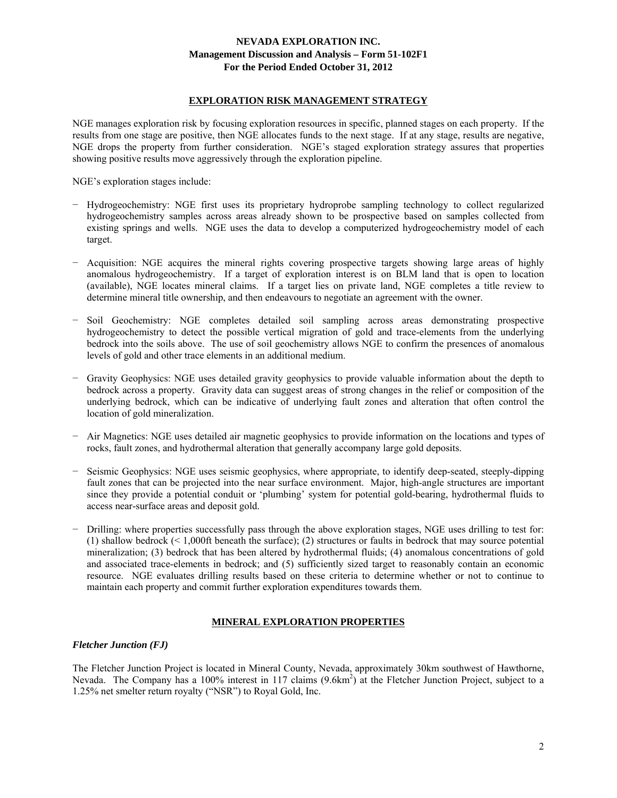### **EXPLORATION RISK MANAGEMENT STRATEGY**

NGE manages exploration risk by focusing exploration resources in specific, planned stages on each property. If the results from one stage are positive, then NGE allocates funds to the next stage. If at any stage, results are negative, NGE drops the property from further consideration. NGE's staged exploration strategy assures that properties showing positive results move aggressively through the exploration pipeline.

NGE's exploration stages include:

- − Hydrogeochemistry: NGE first uses its proprietary hydroprobe sampling technology to collect regularized hydrogeochemistry samples across areas already shown to be prospective based on samples collected from existing springs and wells. NGE uses the data to develop a computerized hydrogeochemistry model of each target.
- − Acquisition: NGE acquires the mineral rights covering prospective targets showing large areas of highly anomalous hydrogeochemistry. If a target of exploration interest is on BLM land that is open to location (available), NGE locates mineral claims. If a target lies on private land, NGE completes a title review to determine mineral title ownership, and then endeavours to negotiate an agreement with the owner.
- − Soil Geochemistry: NGE completes detailed soil sampling across areas demonstrating prospective hydrogeochemistry to detect the possible vertical migration of gold and trace-elements from the underlying bedrock into the soils above. The use of soil geochemistry allows NGE to confirm the presences of anomalous levels of gold and other trace elements in an additional medium.
- − Gravity Geophysics: NGE uses detailed gravity geophysics to provide valuable information about the depth to bedrock across a property. Gravity data can suggest areas of strong changes in the relief or composition of the underlying bedrock, which can be indicative of underlying fault zones and alteration that often control the location of gold mineralization.
- − Air Magnetics: NGE uses detailed air magnetic geophysics to provide information on the locations and types of rocks, fault zones, and hydrothermal alteration that generally accompany large gold deposits.
- − Seismic Geophysics: NGE uses seismic geophysics, where appropriate, to identify deep-seated, steeply-dipping fault zones that can be projected into the near surface environment. Major, high-angle structures are important since they provide a potential conduit or 'plumbing' system for potential gold-bearing, hydrothermal fluids to access near-surface areas and deposit gold.
- − Drilling: where properties successfully pass through the above exploration stages, NGE uses drilling to test for: (1) shallow bedrock (< 1,000ft beneath the surface); (2) structures or faults in bedrock that may source potential mineralization; (3) bedrock that has been altered by hydrothermal fluids; (4) anomalous concentrations of gold and associated trace-elements in bedrock; and (5) sufficiently sized target to reasonably contain an economic resource. NGE evaluates drilling results based on these criteria to determine whether or not to continue to maintain each property and commit further exploration expenditures towards them.

# **MINERAL EXPLORATION PROPERTIES**

#### *Fletcher Junction (FJ)*

The Fletcher Junction Project is located in Mineral County, Nevada, approximately 30km southwest of Hawthorne, Nevada. The Company has a 100% interest in 117 claims (9.6km<sup>2</sup>) at the Fletcher Junction Project, subject to a 1.25% net smelter return royalty ("NSR") to Royal Gold, Inc.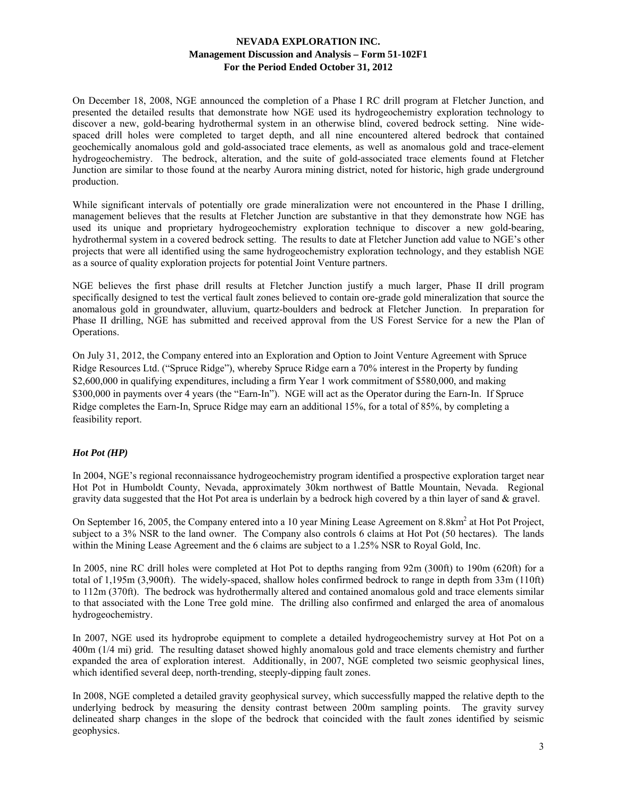On December 18, 2008, NGE announced the completion of a Phase I RC drill program at Fletcher Junction, and presented the detailed results that demonstrate how NGE used its hydrogeochemistry exploration technology to discover a new, gold-bearing hydrothermal system in an otherwise blind, covered bedrock setting. Nine widespaced drill holes were completed to target depth, and all nine encountered altered bedrock that contained geochemically anomalous gold and gold-associated trace elements, as well as anomalous gold and trace-element hydrogeochemistry. The bedrock, alteration, and the suite of gold-associated trace elements found at Fletcher Junction are similar to those found at the nearby Aurora mining district, noted for historic, high grade underground production.

While significant intervals of potentially ore grade mineralization were not encountered in the Phase I drilling, management believes that the results at Fletcher Junction are substantive in that they demonstrate how NGE has used its unique and proprietary hydrogeochemistry exploration technique to discover a new gold-bearing, hydrothermal system in a covered bedrock setting. The results to date at Fletcher Junction add value to NGE's other projects that were all identified using the same hydrogeochemistry exploration technology, and they establish NGE as a source of quality exploration projects for potential Joint Venture partners.

NGE believes the first phase drill results at Fletcher Junction justify a much larger, Phase II drill program specifically designed to test the vertical fault zones believed to contain ore-grade gold mineralization that source the anomalous gold in groundwater, alluvium, quartz-boulders and bedrock at Fletcher Junction. In preparation for Phase II drilling, NGE has submitted and received approval from the US Forest Service for a new the Plan of Operations.

On July 31, 2012, the Company entered into an Exploration and Option to Joint Venture Agreement with Spruce Ridge Resources Ltd. ("Spruce Ridge"), whereby Spruce Ridge earn a 70% interest in the Property by funding \$2,600,000 in qualifying expenditures, including a firm Year 1 work commitment of \$580,000, and making \$300,000 in payments over 4 years (the "Earn-In"). NGE will act as the Operator during the Earn-In. If Spruce Ridge completes the Earn-In, Spruce Ridge may earn an additional 15%, for a total of 85%, by completing a feasibility report.

# *Hot Pot (HP)*

In 2004, NGE's regional reconnaissance hydrogeochemistry program identified a prospective exploration target near Hot Pot in Humboldt County, Nevada, approximately 30km northwest of Battle Mountain, Nevada. Regional gravity data suggested that the Hot Pot area is underlain by a bedrock high covered by a thin layer of sand & gravel.

On September 16, 2005, the Company entered into a 10 year Mining Lease Agreement on 8.8km<sup>2</sup> at Hot Pot Project, subject to a 3% NSR to the land owner. The Company also controls 6 claims at Hot Pot (50 hectares). The lands within the Mining Lease Agreement and the 6 claims are subject to a 1.25% NSR to Royal Gold, Inc.

In 2005, nine RC drill holes were completed at Hot Pot to depths ranging from 92m (300ft) to 190m (620ft) for a total of 1,195m (3,900ft). The widely-spaced, shallow holes confirmed bedrock to range in depth from 33m (110ft) to 112m (370ft). The bedrock was hydrothermally altered and contained anomalous gold and trace elements similar to that associated with the Lone Tree gold mine. The drilling also confirmed and enlarged the area of anomalous hydrogeochemistry.

In 2007, NGE used its hydroprobe equipment to complete a detailed hydrogeochemistry survey at Hot Pot on a 400m (1/4 mi) grid. The resulting dataset showed highly anomalous gold and trace elements chemistry and further expanded the area of exploration interest. Additionally, in 2007, NGE completed two seismic geophysical lines, which identified several deep, north-trending, steeply-dipping fault zones.

In 2008, NGE completed a detailed gravity geophysical survey, which successfully mapped the relative depth to the underlying bedrock by measuring the density contrast between 200m sampling points. The gravity survey delineated sharp changes in the slope of the bedrock that coincided with the fault zones identified by seismic geophysics.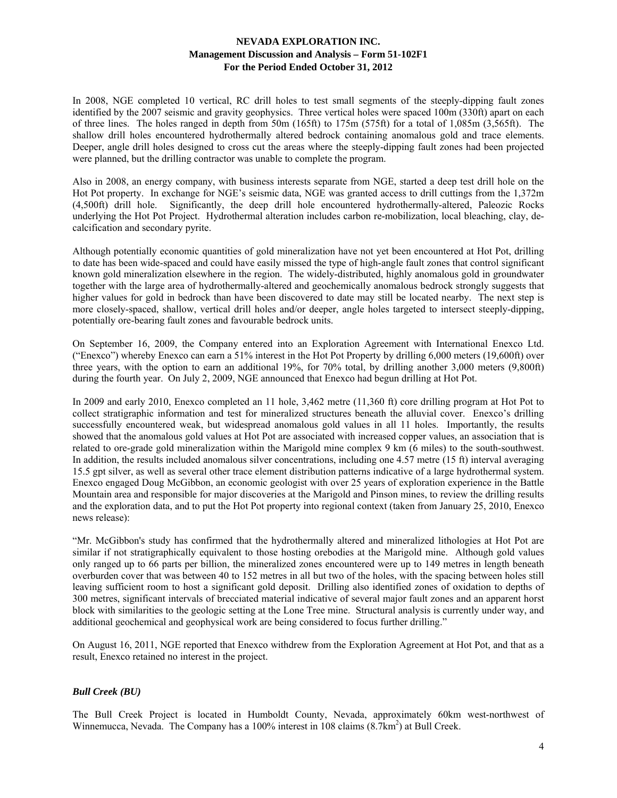In 2008, NGE completed 10 vertical, RC drill holes to test small segments of the steeply-dipping fault zones identified by the 2007 seismic and gravity geophysics. Three vertical holes were spaced 100m (330ft) apart on each of three lines. The holes ranged in depth from 50m (165ft) to 175m (575ft) for a total of 1,085m (3,565ft). The shallow drill holes encountered hydrothermally altered bedrock containing anomalous gold and trace elements. Deeper, angle drill holes designed to cross cut the areas where the steeply-dipping fault zones had been projected were planned, but the drilling contractor was unable to complete the program.

Also in 2008, an energy company, with business interests separate from NGE, started a deep test drill hole on the Hot Pot property. In exchange for NGE's seismic data, NGE was granted access to drill cuttings from the 1,372m (4,500ft) drill hole. Significantly, the deep drill hole encountered hydrothermally-altered, Paleozic Rocks underlying the Hot Pot Project. Hydrothermal alteration includes carbon re-mobilization, local bleaching, clay, decalcification and secondary pyrite.

Although potentially economic quantities of gold mineralization have not yet been encountered at Hot Pot, drilling to date has been wide-spaced and could have easily missed the type of high-angle fault zones that control significant known gold mineralization elsewhere in the region. The widely-distributed, highly anomalous gold in groundwater together with the large area of hydrothermally-altered and geochemically anomalous bedrock strongly suggests that higher values for gold in bedrock than have been discovered to date may still be located nearby. The next step is more closely-spaced, shallow, vertical drill holes and/or deeper, angle holes targeted to intersect steeply-dipping, potentially ore-bearing fault zones and favourable bedrock units.

On September 16, 2009, the Company entered into an Exploration Agreement with International Enexco Ltd. ("Enexco") whereby Enexco can earn a 51% interest in the Hot Pot Property by drilling 6,000 meters (19,600ft) over three years, with the option to earn an additional 19%, for 70% total, by drilling another 3,000 meters (9,800ft) during the fourth year. On July 2, 2009, NGE announced that Enexco had begun drilling at Hot Pot.

In 2009 and early 2010, Enexco completed an 11 hole, 3,462 metre (11,360 ft) core drilling program at Hot Pot to collect stratigraphic information and test for mineralized structures beneath the alluvial cover. Enexco's drilling successfully encountered weak, but widespread anomalous gold values in all 11 holes. Importantly, the results showed that the anomalous gold values at Hot Pot are associated with increased copper values, an association that is related to ore-grade gold mineralization within the Marigold mine complex 9 km (6 miles) to the south-southwest. In addition, the results included anomalous silver concentrations, including one 4.57 metre (15 ft) interval averaging 15.5 gpt silver, as well as several other trace element distribution patterns indicative of a large hydrothermal system. Enexco engaged Doug McGibbon, an economic geologist with over 25 years of exploration experience in the Battle Mountain area and responsible for major discoveries at the Marigold and Pinson mines, to review the drilling results and the exploration data, and to put the Hot Pot property into regional context (taken from January 25, 2010, Enexco news release):

"Mr. McGibbon's study has confirmed that the hydrothermally altered and mineralized lithologies at Hot Pot are similar if not stratigraphically equivalent to those hosting orebodies at the Marigold mine. Although gold values only ranged up to 66 parts per billion, the mineralized zones encountered were up to 149 metres in length beneath overburden cover that was between 40 to 152 metres in all but two of the holes, with the spacing between holes still leaving sufficient room to host a significant gold deposit. Drilling also identified zones of oxidation to depths of 300 metres, significant intervals of brecciated material indicative of several major fault zones and an apparent horst block with similarities to the geologic setting at the Lone Tree mine. Structural analysis is currently under way, and additional geochemical and geophysical work are being considered to focus further drilling."

On August 16, 2011, NGE reported that Enexco withdrew from the Exploration Agreement at Hot Pot, and that as a result, Enexco retained no interest in the project.

# *Bull Creek (BU)*

The Bull Creek Project is located in Humboldt County, Nevada, approximately 60km west-northwest of Winnemucca, Nevada. The Company has a 100% interest in 108 claims (8.7km<sup>2</sup>) at Bull Creek.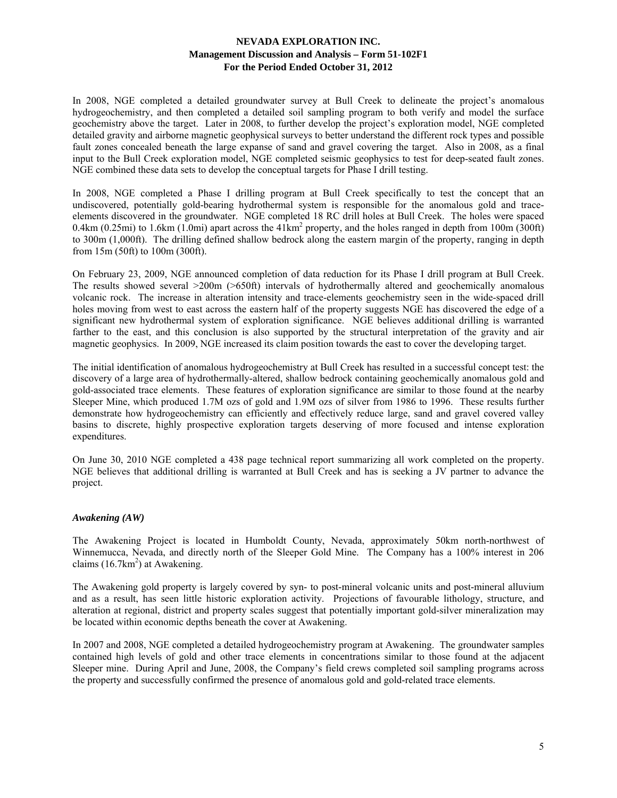In 2008, NGE completed a detailed groundwater survey at Bull Creek to delineate the project's anomalous hydrogeochemistry, and then completed a detailed soil sampling program to both verify and model the surface geochemistry above the target. Later in 2008, to further develop the project's exploration model, NGE completed detailed gravity and airborne magnetic geophysical surveys to better understand the different rock types and possible fault zones concealed beneath the large expanse of sand and gravel covering the target. Also in 2008, as a final input to the Bull Creek exploration model, NGE completed seismic geophysics to test for deep-seated fault zones. NGE combined these data sets to develop the conceptual targets for Phase I drill testing.

In 2008, NGE completed a Phase I drilling program at Bull Creek specifically to test the concept that an undiscovered, potentially gold-bearing hydrothermal system is responsible for the anomalous gold and traceelements discovered in the groundwater. NGE completed 18 RC drill holes at Bull Creek. The holes were spaced 0.4km (0.25mi) to 1.6km (1.0mi) apart across the  $41 \text{km}^2$  property, and the holes ranged in depth from 100m (300ft) to 300m (1,000ft). The drilling defined shallow bedrock along the eastern margin of the property, ranging in depth from 15m (50ft) to 100m (300ft).

On February 23, 2009, NGE announced completion of data reduction for its Phase I drill program at Bull Creek. The results showed several >200m (>650ft) intervals of hydrothermally altered and geochemically anomalous volcanic rock. The increase in alteration intensity and trace-elements geochemistry seen in the wide-spaced drill holes moving from west to east across the eastern half of the property suggests NGE has discovered the edge of a significant new hydrothermal system of exploration significance. NGE believes additional drilling is warranted farther to the east, and this conclusion is also supported by the structural interpretation of the gravity and air magnetic geophysics. In 2009, NGE increased its claim position towards the east to cover the developing target.

The initial identification of anomalous hydrogeochemistry at Bull Creek has resulted in a successful concept test: the discovery of a large area of hydrothermally-altered, shallow bedrock containing geochemically anomalous gold and gold-associated trace elements. These features of exploration significance are similar to those found at the nearby Sleeper Mine, which produced 1.7M ozs of gold and 1.9M ozs of silver from 1986 to 1996. These results further demonstrate how hydrogeochemistry can efficiently and effectively reduce large, sand and gravel covered valley basins to discrete, highly prospective exploration targets deserving of more focused and intense exploration expenditures.

On June 30, 2010 NGE completed a 438 page technical report summarizing all work completed on the property. NGE believes that additional drilling is warranted at Bull Creek and has is seeking a JV partner to advance the project.

# *Awakening (AW)*

The Awakening Project is located in Humboldt County, Nevada, approximately 50km north-northwest of Winnemucca, Nevada, and directly north of the Sleeper Gold Mine. The Company has a 100% interest in 206 claims  $(16.7 \text{km}^2)$  at Awakening.

The Awakening gold property is largely covered by syn- to post-mineral volcanic units and post-mineral alluvium and as a result, has seen little historic exploration activity. Projections of favourable lithology, structure, and alteration at regional, district and property scales suggest that potentially important gold-silver mineralization may be located within economic depths beneath the cover at Awakening.

In 2007 and 2008, NGE completed a detailed hydrogeochemistry program at Awakening. The groundwater samples contained high levels of gold and other trace elements in concentrations similar to those found at the adjacent Sleeper mine. During April and June, 2008, the Company's field crews completed soil sampling programs across the property and successfully confirmed the presence of anomalous gold and gold-related trace elements.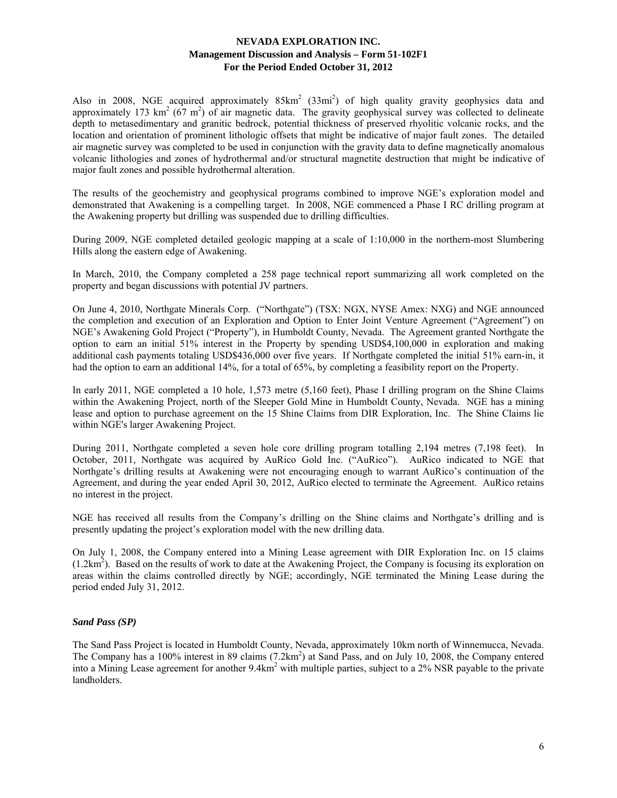Also in 2008, NGE acquired approximately  $85 \text{km}^2$  (33mi<sup>2</sup>) of high quality gravity geophysics data and approximately 173 km<sup>2</sup> ( $67 \text{ m}^2$ ) of air magnetic data. The gravity geophysical survey was collected to delineate depth to metasedimentary and granitic bedrock, potential thickness of preserved rhyolitic volcanic rocks, and the location and orientation of prominent lithologic offsets that might be indicative of major fault zones. The detailed air magnetic survey was completed to be used in conjunction with the gravity data to define magnetically anomalous volcanic lithologies and zones of hydrothermal and/or structural magnetite destruction that might be indicative of major fault zones and possible hydrothermal alteration.

The results of the geochemistry and geophysical programs combined to improve NGE's exploration model and demonstrated that Awakening is a compelling target. In 2008, NGE commenced a Phase I RC drilling program at the Awakening property but drilling was suspended due to drilling difficulties.

During 2009, NGE completed detailed geologic mapping at a scale of 1:10,000 in the northern-most Slumbering Hills along the eastern edge of Awakening.

In March, 2010, the Company completed a 258 page technical report summarizing all work completed on the property and began discussions with potential JV partners.

On June 4, 2010, Northgate Minerals Corp. ("Northgate") (TSX: NGX, NYSE Amex: NXG) and NGE announced the completion and execution of an Exploration and Option to Enter Joint Venture Agreement ("Agreement") on NGE's Awakening Gold Project ("Property"), in Humboldt County, Nevada. The Agreement granted Northgate the option to earn an initial 51% interest in the Property by spending USD\$4,100,000 in exploration and making additional cash payments totaling USD\$436,000 over five years. If Northgate completed the initial 51% earn-in, it had the option to earn an additional 14%, for a total of 65%, by completing a feasibility report on the Property.

In early 2011, NGE completed a 10 hole, 1,573 metre (5,160 feet), Phase I drilling program on the Shine Claims within the Awakening Project, north of the Sleeper Gold Mine in Humboldt County, Nevada. NGE has a mining lease and option to purchase agreement on the 15 Shine Claims from DIR Exploration, Inc. The Shine Claims lie within NGE's larger Awakening Project.

During 2011, Northgate completed a seven hole core drilling program totalling 2,194 metres (7,198 feet). In October, 2011, Northgate was acquired by AuRico Gold Inc. ("AuRico"). AuRico indicated to NGE that Northgate's drilling results at Awakening were not encouraging enough to warrant AuRico's continuation of the Agreement, and during the year ended April 30, 2012, AuRico elected to terminate the Agreement. AuRico retains no interest in the project.

NGE has received all results from the Company's drilling on the Shine claims and Northgate's drilling and is presently updating the project's exploration model with the new drilling data.

On July 1, 2008, the Company entered into a Mining Lease agreement with DIR Exploration Inc. on 15 claims  $(1.2 \text{km}^2)$ . Based on the results of work to date at the Awakening Project, the Company is focusing its exploration on areas within the claims controlled directly by NGE; accordingly, NGE terminated the Mining Lease during the period ended July 31, 2012.

# *Sand Pass (SP)*

The Sand Pass Project is located in Humboldt County, Nevada, approximately 10km north of Winnemucca, Nevada. The Company has a 100% interest in 89 claims (7.2km<sup>2</sup>) at Sand Pass, and on July 10, 2008, the Company entered into a Mining Lease agreement for another 9.4km<sup>2</sup> with multiple parties, subject to a 2% NSR payable to the private landholders.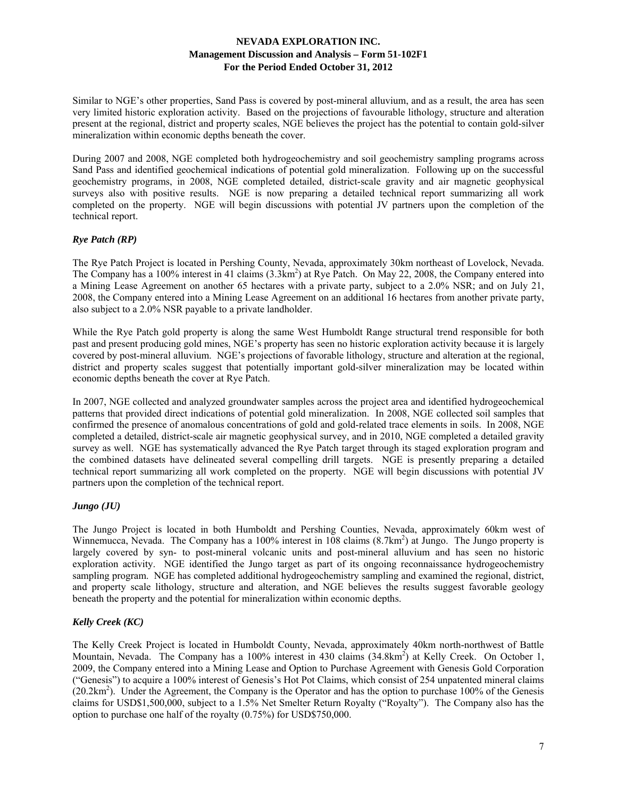Similar to NGE's other properties, Sand Pass is covered by post-mineral alluvium, and as a result, the area has seen very limited historic exploration activity. Based on the projections of favourable lithology, structure and alteration present at the regional, district and property scales, NGE believes the project has the potential to contain gold-silver mineralization within economic depths beneath the cover.

During 2007 and 2008, NGE completed both hydrogeochemistry and soil geochemistry sampling programs across Sand Pass and identified geochemical indications of potential gold mineralization. Following up on the successful geochemistry programs, in 2008, NGE completed detailed, district-scale gravity and air magnetic geophysical surveys also with positive results. NGE is now preparing a detailed technical report summarizing all work completed on the property. NGE will begin discussions with potential JV partners upon the completion of the technical report.

# *Rye Patch (RP)*

The Rye Patch Project is located in Pershing County, Nevada, approximately 30km northeast of Lovelock, Nevada. The Company has a 100% interest in 41 claims (3.3km<sup>2</sup>) at Rye Patch. On May 22, 2008, the Company entered into a Mining Lease Agreement on another 65 hectares with a private party, subject to a 2.0% NSR; and on July 21, 2008, the Company entered into a Mining Lease Agreement on an additional 16 hectares from another private party, also subject to a 2.0% NSR payable to a private landholder.

While the Rye Patch gold property is along the same West Humboldt Range structural trend responsible for both past and present producing gold mines, NGE's property has seen no historic exploration activity because it is largely covered by post-mineral alluvium. NGE's projections of favorable lithology, structure and alteration at the regional, district and property scales suggest that potentially important gold-silver mineralization may be located within economic depths beneath the cover at Rye Patch.

In 2007, NGE collected and analyzed groundwater samples across the project area and identified hydrogeochemical patterns that provided direct indications of potential gold mineralization. In 2008, NGE collected soil samples that confirmed the presence of anomalous concentrations of gold and gold-related trace elements in soils. In 2008, NGE completed a detailed, district-scale air magnetic geophysical survey, and in 2010, NGE completed a detailed gravity survey as well. NGE has systematically advanced the Rye Patch target through its staged exploration program and the combined datasets have delineated several compelling drill targets. NGE is presently preparing a detailed technical report summarizing all work completed on the property. NGE will begin discussions with potential JV partners upon the completion of the technical report.

# *Jungo (JU)*

The Jungo Project is located in both Humboldt and Pershing Counties, Nevada, approximately 60km west of Winnemucca, Nevada. The Company has a 100% interest in 108 claims  $(8.7 \text{km}^2)$  at Jungo. The Jungo property is largely covered by syn- to post-mineral volcanic units and post-mineral alluvium and has seen no historic exploration activity. NGE identified the Jungo target as part of its ongoing reconnaissance hydrogeochemistry sampling program. NGE has completed additional hydrogeochemistry sampling and examined the regional, district, and property scale lithology, structure and alteration, and NGE believes the results suggest favorable geology beneath the property and the potential for mineralization within economic depths.

# *Kelly Creek (KC)*

The Kelly Creek Project is located in Humboldt County, Nevada, approximately 40km north-northwest of Battle Mountain, Nevada. The Company has a 100% interest in 430 claims (34.8km<sup>2</sup>) at Kelly Creek. On October 1, 2009, the Company entered into a Mining Lease and Option to Purchase Agreement with Genesis Gold Corporation ("Genesis") to acquire a 100% interest of Genesis's Hot Pot Claims, which consist of 254 unpatented mineral claims  $(20.2 \text{km}^2)$ . Under the Agreement, the Company is the Operator and has the option to purchase 100% of the Genesis claims for USD\$1,500,000, subject to a 1.5% Net Smelter Return Royalty ("Royalty"). The Company also has the option to purchase one half of the royalty (0.75%) for USD\$750,000.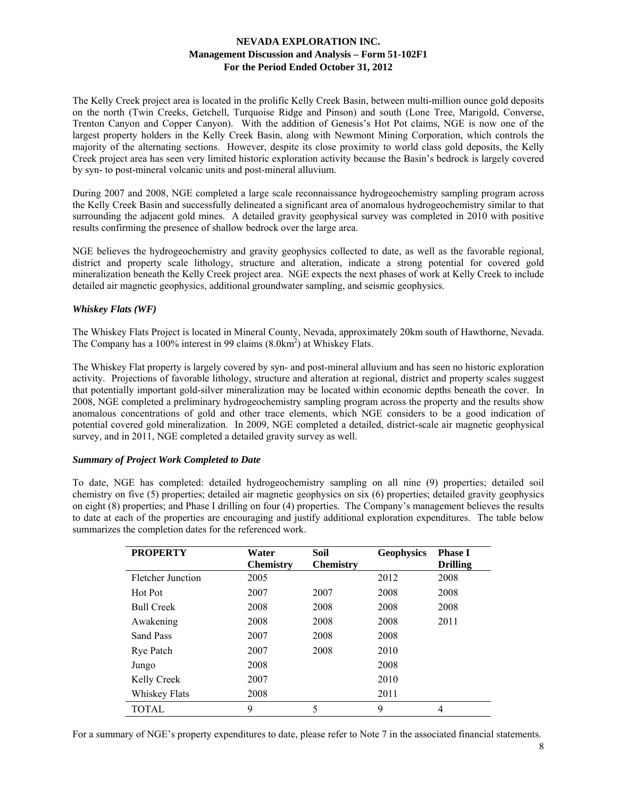The Kelly Creek project area is located in the prolific Kelly Creek Basin, between multi-million ounce gold deposits on the north (Twin Creeks, Getchell, Turquoise Ridge and Pinson) and south (Lone Tree, Marigold, Converse, Trenton Canyon and Copper Canyon). With the addition of Genesis's Hot Pot claims, NGE is now one of the largest property holders in the Kelly Creek Basin, along with Newmont Mining Corporation, which controls the majority of the alternating sections. However, despite its close proximity to world class gold deposits, the Kelly Creek project area has seen very limited historic exploration activity because the Basin's bedrock is largely covered by syn- to post-mineral volcanic units and post-mineral alluvium.

During 2007 and 2008, NGE completed a large scale reconnaissance hydrogeochemistry sampling program across the Kelly Creek Basin and successfully delineated a significant area of anomalous hydrogeochemistry similar to that surrounding the adjacent gold mines. A detailed gravity geophysical survey was completed in 2010 with positive results confirming the presence of shallow bedrock over the large area.

NGE believes the hydrogeochemistry and gravity geophysics collected to date, as well as the favorable regional, district and property scale lithology, structure and alteration, indicate a strong potential for covered gold mineralization beneath the Kelly Creek project area. NGE expects the next phases of work at Kelly Creek to include detailed air magnetic geophysics, additional groundwater sampling, and seismic geophysics.

# *Whiskey Flats (WF)*

The Whiskey Flats Project is located in Mineral County, Nevada, approximately 20km south of Hawthorne, Nevada. The Company has a 100% interest in 99 claims (8.0km<sup>2</sup>) at Whiskey Flats.

The Whiskey Flat property is largely covered by syn- and post-mineral alluvium and has seen no historic exploration activity. Projections of favorable lithology, structure and alteration at regional, district and property scales suggest that potentially important gold-silver mineralization may be located within economic depths beneath the cover. In 2008, NGE completed a preliminary hydrogeochemistry sampling program across the property and the results show anomalous concentrations of gold and other trace elements, which NGE considers to be a good indication of potential covered gold mineralization. In 2009, NGE completed a detailed, district-scale air magnetic geophysical survey, and in 2011, NGE completed a detailed gravity survey as well.

# *Summary of Project Work Completed to Date*

To date, NGE has completed: detailed hydrogeochemistry sampling on all nine (9) properties; detailed soil chemistry on five (5) properties; detailed air magnetic geophysics on six (6) properties; detailed gravity geophysics on eight (8) properties; and Phase I drilling on four (4) properties. The Company's management believes the results to date at each of the properties are encouraging and justify additional exploration expenditures. The table below summarizes the completion dates for the referenced work.

| <b>PROPERTY</b>   | Water            | Soil             | <b>Geophysics</b> | <b>Phase I</b>  |
|-------------------|------------------|------------------|-------------------|-----------------|
|                   | <b>Chemistry</b> | <b>Chemistry</b> |                   | <b>Drilling</b> |
| Fletcher Junction | 2005             |                  | 2012              | 2008            |
| Hot Pot           | 2007             | 2007             | 2008              | 2008            |
| <b>Bull Creek</b> | 2008             | 2008             | 2008              | 2008            |
| Awakening         | 2008             | 2008             | 2008              | 2011            |
| Sand Pass         | 2007             | 2008             | 2008              |                 |
| Rye Patch         | 2007             | 2008             | 2010              |                 |
| Jungo             | 2008             |                  | 2008              |                 |
| Kelly Creek       | 2007             |                  | 2010              |                 |
| Whiskey Flats     | 2008             |                  | 2011              |                 |
| TOTAL             | 9                | 5                | 9                 | 4               |

For a summary of NGE's property expenditures to date, please refer to Note 7 in the associated financial statements.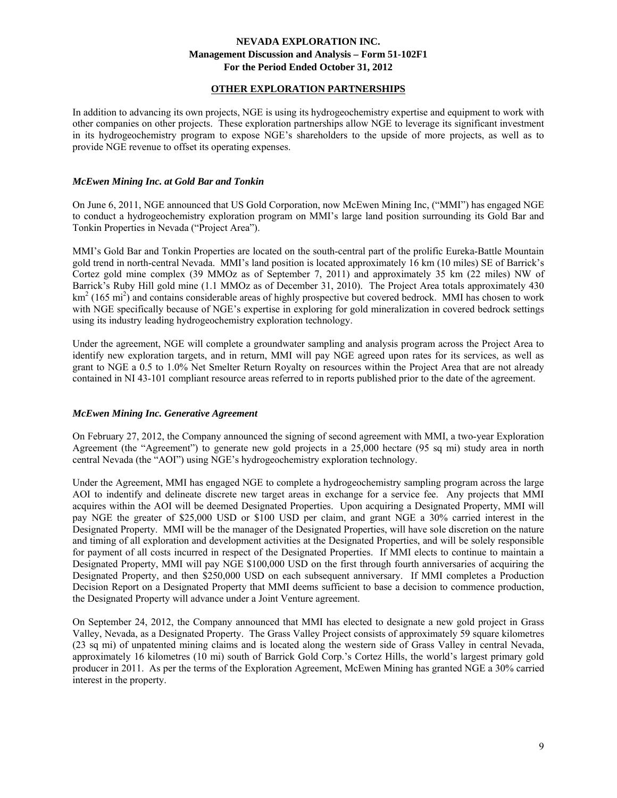# **OTHER EXPLORATION PARTNERSHIPS**

In addition to advancing its own projects, NGE is using its hydrogeochemistry expertise and equipment to work with other companies on other projects. These exploration partnerships allow NGE to leverage its significant investment in its hydrogeochemistry program to expose NGE's shareholders to the upside of more projects, as well as to provide NGE revenue to offset its operating expenses.

# *McEwen Mining Inc. at Gold Bar and Tonkin*

On June 6, 2011, NGE announced that US Gold Corporation, now McEwen Mining Inc, ("MMI") has engaged NGE to conduct a hydrogeochemistry exploration program on MMI's large land position surrounding its Gold Bar and Tonkin Properties in Nevada ("Project Area").

MMI's Gold Bar and Tonkin Properties are located on the south-central part of the prolific Eureka-Battle Mountain gold trend in north-central Nevada. MMI's land position is located approximately 16 km (10 miles) SE of Barrick's Cortez gold mine complex (39 MMOz as of September 7, 2011) and approximately 35 km (22 miles) NW of Barrick's Ruby Hill gold mine (1.1 MMOz as of December 31, 2010). The Project Area totals approximately 430  $km<sup>2</sup>$  (165 mi<sup>2</sup>) and contains considerable areas of highly prospective but covered bedrock. MMI has chosen to work with NGE specifically because of NGE's expertise in exploring for gold mineralization in covered bedrock settings using its industry leading hydrogeochemistry exploration technology.

Under the agreement, NGE will complete a groundwater sampling and analysis program across the Project Area to identify new exploration targets, and in return, MMI will pay NGE agreed upon rates for its services, as well as grant to NGE a 0.5 to 1.0% Net Smelter Return Royalty on resources within the Project Area that are not already contained in NI 43-101 compliant resource areas referred to in reports published prior to the date of the agreement.

# *McEwen Mining Inc. Generative Agreement*

On February 27, 2012, the Company announced the signing of second agreement with MMI, a two-year Exploration Agreement (the "Agreement") to generate new gold projects in a 25,000 hectare (95 sq mi) study area in north central Nevada (the "AOI") using NGE's hydrogeochemistry exploration technology.

Under the Agreement, MMI has engaged NGE to complete a hydrogeochemistry sampling program across the large AOI to indentify and delineate discrete new target areas in exchange for a service fee. Any projects that MMI acquires within the AOI will be deemed Designated Properties. Upon acquiring a Designated Property, MMI will pay NGE the greater of \$25,000 USD or \$100 USD per claim, and grant NGE a 30% carried interest in the Designated Property. MMI will be the manager of the Designated Properties, will have sole discretion on the nature and timing of all exploration and development activities at the Designated Properties, and will be solely responsible for payment of all costs incurred in respect of the Designated Properties. If MMI elects to continue to maintain a Designated Property, MMI will pay NGE \$100,000 USD on the first through fourth anniversaries of acquiring the Designated Property, and then \$250,000 USD on each subsequent anniversary. If MMI completes a Production Decision Report on a Designated Property that MMI deems sufficient to base a decision to commence production, the Designated Property will advance under a Joint Venture agreement.

On September 24, 2012, the Company announced that MMI has elected to designate a new gold project in Grass Valley, Nevada, as a Designated Property. The Grass Valley Project consists of approximately 59 square kilometres (23 sq mi) of unpatented mining claims and is located along the western side of Grass Valley in central Nevada, approximately 16 kilometres (10 mi) south of Barrick Gold Corp.'s Cortez Hills, the world's largest primary gold producer in 2011. As per the terms of the Exploration Agreement, McEwen Mining has granted NGE a 30% carried interest in the property.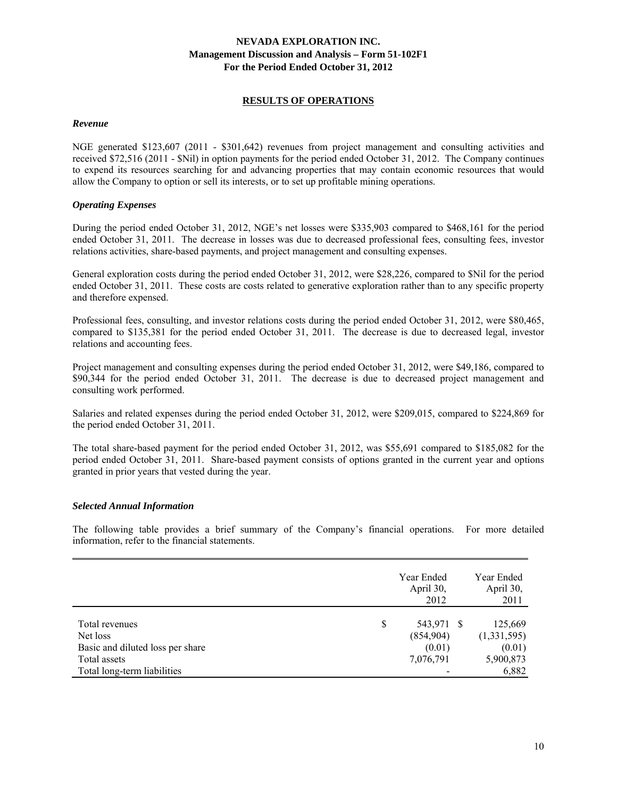### **RESULTS OF OPERATIONS**

### *Revenue*

NGE generated \$123,607 (2011 - \$301,642) revenues from project management and consulting activities and received \$72,516 (2011 - \$Nil) in option payments for the period ended October 31, 2012. The Company continues to expend its resources searching for and advancing properties that may contain economic resources that would allow the Company to option or sell its interests, or to set up profitable mining operations.

# *Operating Expenses*

During the period ended October 31, 2012, NGE's net losses were \$335,903 compared to \$468,161 for the period ended October 31, 2011. The decrease in losses was due to decreased professional fees, consulting fees, investor relations activities, share-based payments, and project management and consulting expenses.

General exploration costs during the period ended October 31, 2012, were \$28,226, compared to \$Nil for the period ended October 31, 2011. These costs are costs related to generative exploration rather than to any specific property and therefore expensed.

Professional fees, consulting, and investor relations costs during the period ended October 31, 2012, were \$80,465, compared to \$135,381 for the period ended October 31, 2011. The decrease is due to decreased legal, investor relations and accounting fees.

Project management and consulting expenses during the period ended October 31, 2012, were \$49,186, compared to \$90,344 for the period ended October 31, 2011. The decrease is due to decreased project management and consulting work performed.

Salaries and related expenses during the period ended October 31, 2012, were \$209,015, compared to \$224,869 for the period ended October 31, 2011.

The total share-based payment for the period ended October 31, 2012, was \$55,691 compared to \$185,082 for the period ended October 31, 2011. Share-based payment consists of options granted in the current year and options granted in prior years that vested during the year.

# *Selected Annual Information*

The following table provides a brief summary of the Company's financial operations. For more detailed information, refer to the financial statements.

|                                  |   | Year Ended<br>April 30,<br>2012 | Year Ended<br>April 30,<br>2011 |
|----------------------------------|---|---------------------------------|---------------------------------|
| Total revenues                   | S | 543,971                         | 125,669                         |
| Net loss                         |   | (854,904)                       | (1,331,595)                     |
| Basic and diluted loss per share |   | (0.01)                          | (0.01)                          |
| Total assets                     |   | 7,076,791                       | 5,900,873                       |
| Total long-term liabilities      |   |                                 | 6,882                           |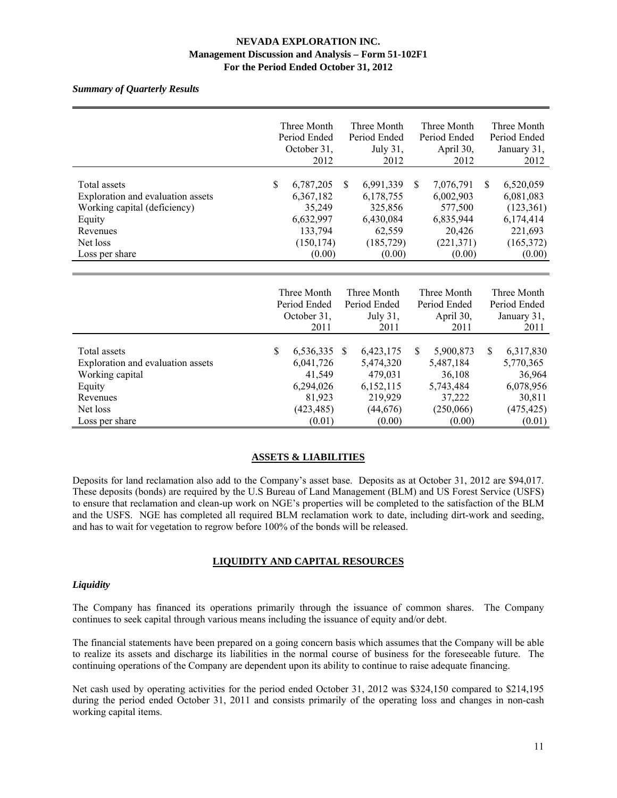# *Summary of Quarterly Results*

|             |            |                                                                                                                                                                           |            |                                                                                                                                                                      |            |                                                                                                                                                                      | Three Month  |
|-------------|------------|---------------------------------------------------------------------------------------------------------------------------------------------------------------------------|------------|----------------------------------------------------------------------------------------------------------------------------------------------------------------------|------------|----------------------------------------------------------------------------------------------------------------------------------------------------------------------|--------------|
|             |            |                                                                                                                                                                           |            |                                                                                                                                                                      |            |                                                                                                                                                                      | Period Ended |
|             |            |                                                                                                                                                                           |            |                                                                                                                                                                      |            |                                                                                                                                                                      | January 31,  |
|             | 2012       |                                                                                                                                                                           | 2012       |                                                                                                                                                                      | 2012       |                                                                                                                                                                      | 2012         |
|             |            |                                                                                                                                                                           |            |                                                                                                                                                                      |            |                                                                                                                                                                      |              |
| $\mathbf S$ | 6,787,205  | \$.                                                                                                                                                                       | 6,991,339  | \$                                                                                                                                                                   | 7,076,791  | \$.                                                                                                                                                                  | 6,520,059    |
|             | 6,367,182  |                                                                                                                                                                           | 6,178,755  |                                                                                                                                                                      | 6,002,903  |                                                                                                                                                                      | 6,081,083    |
|             | 35,249     |                                                                                                                                                                           | 325,856    |                                                                                                                                                                      | 577,500    |                                                                                                                                                                      | (123, 361)   |
|             | 6,632,997  |                                                                                                                                                                           | 6,430,084  |                                                                                                                                                                      | 6,835,944  |                                                                                                                                                                      | 6,174,414    |
|             | 133,794    |                                                                                                                                                                           | 62,559     |                                                                                                                                                                      | 20,426     |                                                                                                                                                                      | 221,693      |
|             | (150, 174) |                                                                                                                                                                           | (185, 729) |                                                                                                                                                                      | (221, 371) |                                                                                                                                                                      | (165, 372)   |
|             | (0.00)     |                                                                                                                                                                           | (0.00)     |                                                                                                                                                                      | (0.00)     |                                                                                                                                                                      | (0.00)       |
|             |            |                                                                                                                                                                           |            |                                                                                                                                                                      |            |                                                                                                                                                                      |              |
|             |            |                                                                                                                                                                           |            |                                                                                                                                                                      |            |                                                                                                                                                                      |              |
|             |            |                                                                                                                                                                           |            |                                                                                                                                                                      |            |                                                                                                                                                                      | Three Month  |
|             |            |                                                                                                                                                                           |            |                                                                                                                                                                      |            |                                                                                                                                                                      | Period Ended |
|             |            |                                                                                                                                                                           |            |                                                                                                                                                                      |            |                                                                                                                                                                      | January 31,  |
|             |            |                                                                                                                                                                           |            |                                                                                                                                                                      |            |                                                                                                                                                                      | 2011         |
|             |            |                                                                                                                                                                           |            |                                                                                                                                                                      |            |                                                                                                                                                                      |              |
| \$          |            | <sup>\$</sup>                                                                                                                                                             |            | \$.                                                                                                                                                                  |            | \$.                                                                                                                                                                  | 6,317,830    |
|             |            |                                                                                                                                                                           |            |                                                                                                                                                                      |            |                                                                                                                                                                      | 5,770,365    |
|             |            |                                                                                                                                                                           |            |                                                                                                                                                                      |            |                                                                                                                                                                      | 36,964       |
|             |            |                                                                                                                                                                           |            |                                                                                                                                                                      |            |                                                                                                                                                                      | 6,078,956    |
|             |            |                                                                                                                                                                           |            |                                                                                                                                                                      |            |                                                                                                                                                                      | 30,811       |
|             |            |                                                                                                                                                                           |            |                                                                                                                                                                      |            |                                                                                                                                                                      | (475, 425)   |
|             | (0.01)     |                                                                                                                                                                           | (0.00)     |                                                                                                                                                                      | (0.00)     |                                                                                                                                                                      | (0.01)       |
|             |            | Three Month<br>Period Ended<br>October 31,<br>Three Month<br>Period Ended<br>October 31,<br>2011<br>6,536,335<br>6,041,726<br>41,549<br>6,294,026<br>81,923<br>(423, 485) |            | Three Month<br>Period Ended<br>July 31,<br>Three Month<br>Period Ended<br>July 31,<br>2011<br>6,423,175<br>5,474,320<br>479,031<br>6,152,115<br>219,929<br>(44, 676) |            | Three Month<br>Period Ended<br>April 30,<br>Three Month<br>Period Ended<br>April 30,<br>2011<br>5,900,873<br>5,487,184<br>36,108<br>5,743,484<br>37,222<br>(250,066) |              |

# **ASSETS & LIABILITIES**

Deposits for land reclamation also add to the Company's asset base. Deposits as at October 31, 2012 are \$94,017. These deposits (bonds) are required by the U.S Bureau of Land Management (BLM) and US Forest Service (USFS) to ensure that reclamation and clean-up work on NGE's properties will be completed to the satisfaction of the BLM and the USFS. NGE has completed all required BLM reclamation work to date, including dirt-work and seeding, and has to wait for vegetation to regrow before 100% of the bonds will be released.

# **LIQUIDITY AND CAPITAL RESOURCES**

# *Liquidity*

The Company has financed its operations primarily through the issuance of common shares. The Company continues to seek capital through various means including the issuance of equity and/or debt.

The financial statements have been prepared on a going concern basis which assumes that the Company will be able to realize its assets and discharge its liabilities in the normal course of business for the foreseeable future. The continuing operations of the Company are dependent upon its ability to continue to raise adequate financing.

Net cash used by operating activities for the period ended October 31, 2012 was \$324,150 compared to \$214,195 during the period ended October 31, 2011 and consists primarily of the operating loss and changes in non-cash working capital items.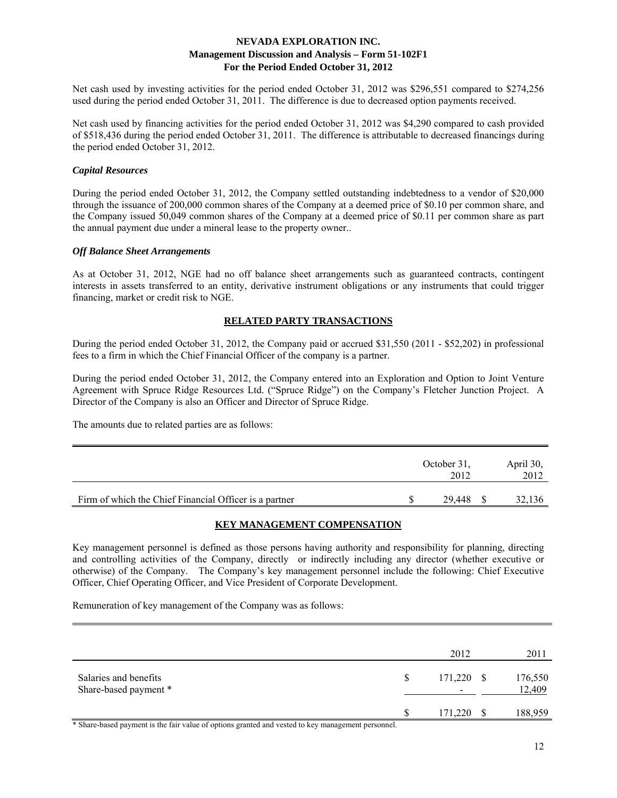Net cash used by investing activities for the period ended October 31, 2012 was \$296,551 compared to \$274,256 used during the period ended October 31, 2011. The difference is due to decreased option payments received.

Net cash used by financing activities for the period ended October 31, 2012 was \$4,290 compared to cash provided of \$518,436 during the period ended October 31, 2011. The difference is attributable to decreased financings during the period ended October 31, 2012.

### *Capital Resources*

During the period ended October 31, 2012, the Company settled outstanding indebtedness to a vendor of \$20,000 through the issuance of 200,000 common shares of the Company at a deemed price of \$0.10 per common share, and the Company issued 50,049 common shares of the Company at a deemed price of \$0.11 per common share as part the annual payment due under a mineral lease to the property owner..

### *Off Balance Sheet Arrangements*

As at October 31, 2012, NGE had no off balance sheet arrangements such as guaranteed contracts, contingent interests in assets transferred to an entity, derivative instrument obligations or any instruments that could trigger financing, market or credit risk to NGE.

# **RELATED PARTY TRANSACTIONS**

During the period ended October 31, 2012, the Company paid or accrued \$31,550 (2011 - \$52,202) in professional fees to a firm in which the Chief Financial Officer of the company is a partner.

During the period ended October 31, 2012, the Company entered into an Exploration and Option to Joint Venture Agreement with Spruce Ridge Resources Ltd. ("Spruce Ridge") on the Company's Fletcher Junction Project. A Director of the Company is also an Officer and Director of Spruce Ridge.

The amounts due to related parties are as follows:

|                                                        | October 31.<br>2012 | April 30,<br>2012 |
|--------------------------------------------------------|---------------------|-------------------|
| Firm of which the Chief Financial Officer is a partner | 29.448              | 32,136            |

# **KEY MANAGEMENT COMPENSATION**

Key management personnel is defined as those persons having authority and responsibility for planning, directing and controlling activities of the Company, directly or indirectly including any director (whether executive or otherwise) of the Company. The Company's key management personnel include the following: Chief Executive Officer, Chief Operating Officer, and Vice President of Corporate Development.

Remuneration of key management of the Company was as follows:

|                                                                                                    |   | 2012       | 2011              |
|----------------------------------------------------------------------------------------------------|---|------------|-------------------|
| Salaries and benefits<br>Share-based payment *                                                     | S | 171,220 \$ | 176,550<br>12,409 |
|                                                                                                    | S | 171,220    | 188,959           |
| * Chang hosed normant is the fair value of ontions arented and vested to leav monogement norsenael |   |            |                   |

Share-based payment is the fair value of options granted and vested to key management personnel.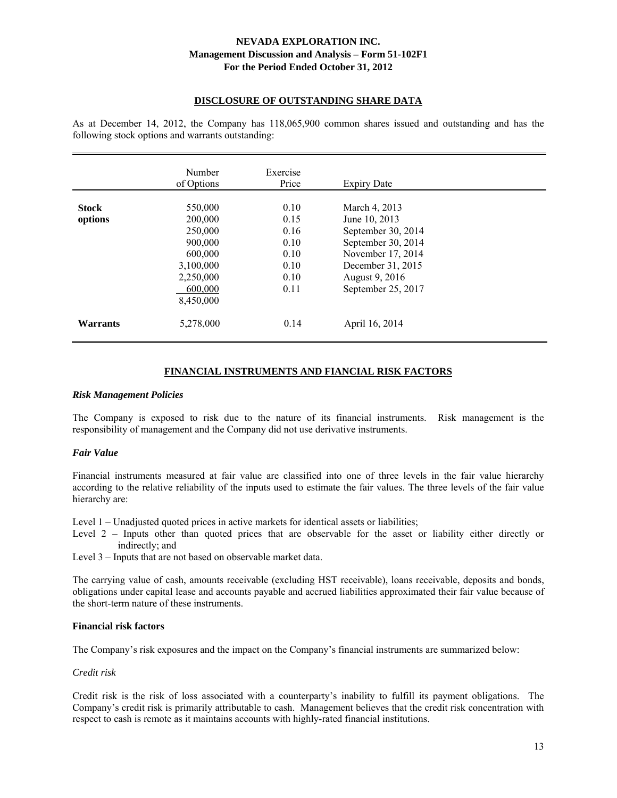### **DISCLOSURE OF OUTSTANDING SHARE DATA**

As at December 14, 2012, the Company has 118,065,900 common shares issued and outstanding and has the following stock options and warrants outstanding:

|                         | Number<br>of Options                                                                                  | Exercise<br>Price                                            | <b>Expiry Date</b>                                                                                                                                           |  |
|-------------------------|-------------------------------------------------------------------------------------------------------|--------------------------------------------------------------|--------------------------------------------------------------------------------------------------------------------------------------------------------------|--|
| <b>Stock</b><br>options | 550,000<br>200,000<br>250,000<br>900,000<br>600,000<br>3,100,000<br>2,250,000<br>600,000<br>8,450,000 | 0.10<br>0.15<br>0.16<br>0.10<br>0.10<br>0.10<br>0.10<br>0.11 | March 4, 2013<br>June 10, 2013<br>September 30, 2014<br>September 30, 2014<br>November 17, 2014<br>December 31, 2015<br>August 9, 2016<br>September 25, 2017 |  |
| Warrants                | 5,278,000                                                                                             | 0.14                                                         | April 16, 2014                                                                                                                                               |  |

# **FINANCIAL INSTRUMENTS AND FIANCIAL RISK FACTORS**

#### *Risk Management Policies*

The Company is exposed to risk due to the nature of its financial instruments. Risk management is the responsibility of management and the Company did not use derivative instruments.

#### *Fair Value*

Financial instruments measured at fair value are classified into one of three levels in the fair value hierarchy according to the relative reliability of the inputs used to estimate the fair values. The three levels of the fair value hierarchy are:

Level 1 – Unadjusted quoted prices in active markets for identical assets or liabilities;

Level 2 – Inputs other than quoted prices that are observable for the asset or liability either directly or indirectly; and

Level 3 – Inputs that are not based on observable market data.

The carrying value of cash, amounts receivable (excluding HST receivable), loans receivable, deposits and bonds, obligations under capital lease and accounts payable and accrued liabilities approximated their fair value because of the short-term nature of these instruments.

# **Financial risk factors**

The Company's risk exposures and the impact on the Company's financial instruments are summarized below:

# *Credit risk*

Credit risk is the risk of loss associated with a counterparty's inability to fulfill its payment obligations. The Company's credit risk is primarily attributable to cash. Management believes that the credit risk concentration with respect to cash is remote as it maintains accounts with highly-rated financial institutions.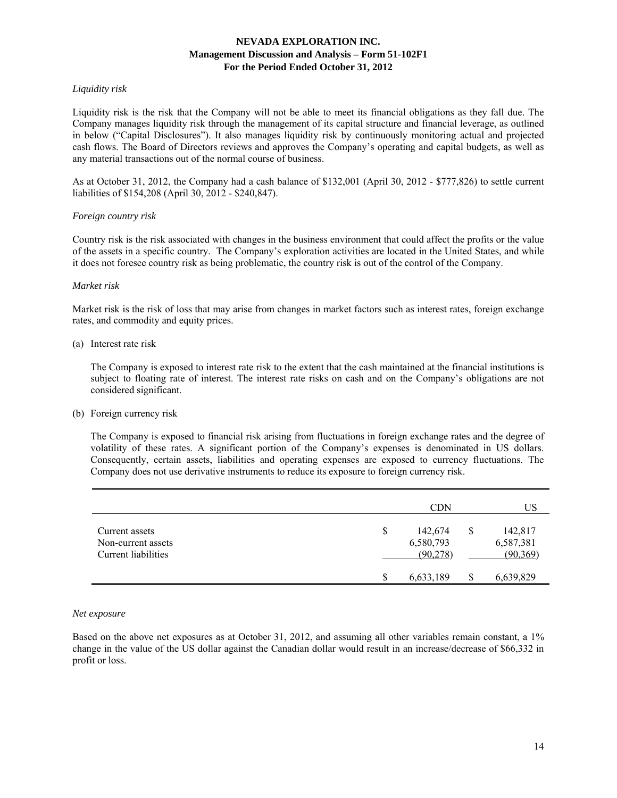# *Liquidity risk*

Liquidity risk is the risk that the Company will not be able to meet its financial obligations as they fall due. The Company manages liquidity risk through the management of its capital structure and financial leverage, as outlined in below ("Capital Disclosures"). It also manages liquidity risk by continuously monitoring actual and projected cash flows. The Board of Directors reviews and approves the Company's operating and capital budgets, as well as any material transactions out of the normal course of business.

As at October 31, 2012, the Company had a cash balance of \$132,001 (April 30, 2012 - \$777,826) to settle current liabilities of \$154,208 (April 30, 2012 - \$240,847).

# *Foreign country risk*

Country risk is the risk associated with changes in the business environment that could affect the profits or the value of the assets in a specific country. The Company's exploration activities are located in the United States, and while it does not foresee country risk as being problematic, the country risk is out of the control of the Company.

# *Market risk*

Market risk is the risk of loss that may arise from changes in market factors such as interest rates, foreign exchange rates, and commodity and equity prices.

### (a) Interest rate risk

 The Company is exposed to interest rate risk to the extent that the cash maintained at the financial institutions is subject to floating rate of interest. The interest rate risks on cash and on the Company's obligations are not considered significant.

#### (b) Foreign currency risk

 The Company is exposed to financial risk arising from fluctuations in foreign exchange rates and the degree of volatility of these rates. A significant portion of the Company's expenses is denominated in US dollars. Consequently, certain assets, liabilities and operating expenses are exposed to currency fluctuations. The Company does not use derivative instruments to reduce its exposure to foreign currency risk.

|                                                             | <b>CDN</b>                              | US                                      |
|-------------------------------------------------------------|-----------------------------------------|-----------------------------------------|
| Current assets<br>Non-current assets<br>Current liabilities | \$<br>142,674<br>6,580,793<br>(90, 278) | \$<br>142,817<br>6,587,381<br>(90, 369) |
|                                                             | 6,633,189                               | 6,639,829                               |

#### *Net exposure*

Based on the above net exposures as at October 31, 2012, and assuming all other variables remain constant, a 1% change in the value of the US dollar against the Canadian dollar would result in an increase/decrease of \$66,332 in profit or loss.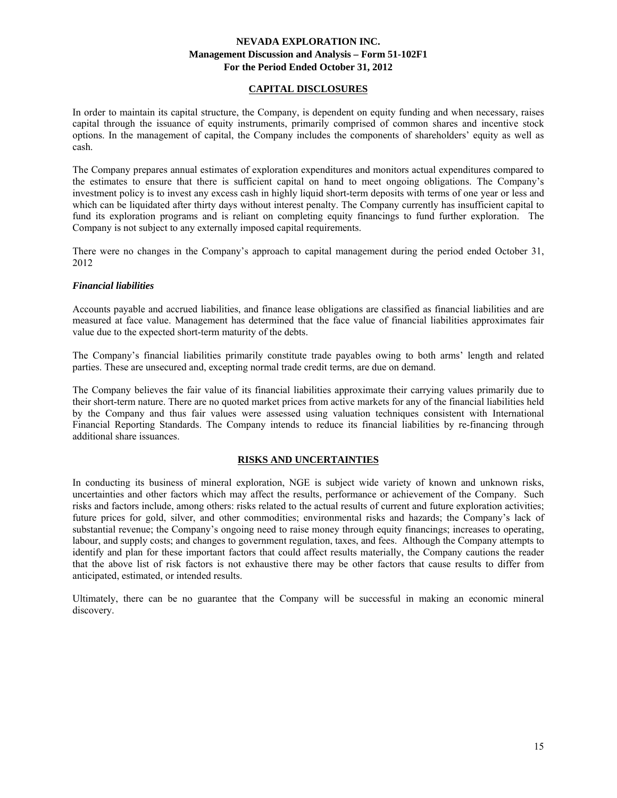# **CAPITAL DISCLOSURES**

In order to maintain its capital structure, the Company, is dependent on equity funding and when necessary, raises capital through the issuance of equity instruments, primarily comprised of common shares and incentive stock options. In the management of capital, the Company includes the components of shareholders' equity as well as cash.

The Company prepares annual estimates of exploration expenditures and monitors actual expenditures compared to the estimates to ensure that there is sufficient capital on hand to meet ongoing obligations. The Company's investment policy is to invest any excess cash in highly liquid short-term deposits with terms of one year or less and which can be liquidated after thirty days without interest penalty. The Company currently has insufficient capital to fund its exploration programs and is reliant on completing equity financings to fund further exploration. The Company is not subject to any externally imposed capital requirements.

There were no changes in the Company's approach to capital management during the period ended October 31, 2012

#### *Financial liabilities*

Accounts payable and accrued liabilities, and finance lease obligations are classified as financial liabilities and are measured at face value. Management has determined that the face value of financial liabilities approximates fair value due to the expected short-term maturity of the debts.

The Company's financial liabilities primarily constitute trade payables owing to both arms' length and related parties. These are unsecured and, excepting normal trade credit terms, are due on demand.

The Company believes the fair value of its financial liabilities approximate their carrying values primarily due to their short-term nature. There are no quoted market prices from active markets for any of the financial liabilities held by the Company and thus fair values were assessed using valuation techniques consistent with International Financial Reporting Standards. The Company intends to reduce its financial liabilities by re-financing through additional share issuances.

# **RISKS AND UNCERTAINTIES**

In conducting its business of mineral exploration, NGE is subject wide variety of known and unknown risks, uncertainties and other factors which may affect the results, performance or achievement of the Company. Such risks and factors include, among others: risks related to the actual results of current and future exploration activities; future prices for gold, silver, and other commodities; environmental risks and hazards; the Company's lack of substantial revenue; the Company's ongoing need to raise money through equity financings; increases to operating, labour, and supply costs; and changes to government regulation, taxes, and fees. Although the Company attempts to identify and plan for these important factors that could affect results materially, the Company cautions the reader that the above list of risk factors is not exhaustive there may be other factors that cause results to differ from anticipated, estimated, or intended results.

Ultimately, there can be no guarantee that the Company will be successful in making an economic mineral discovery.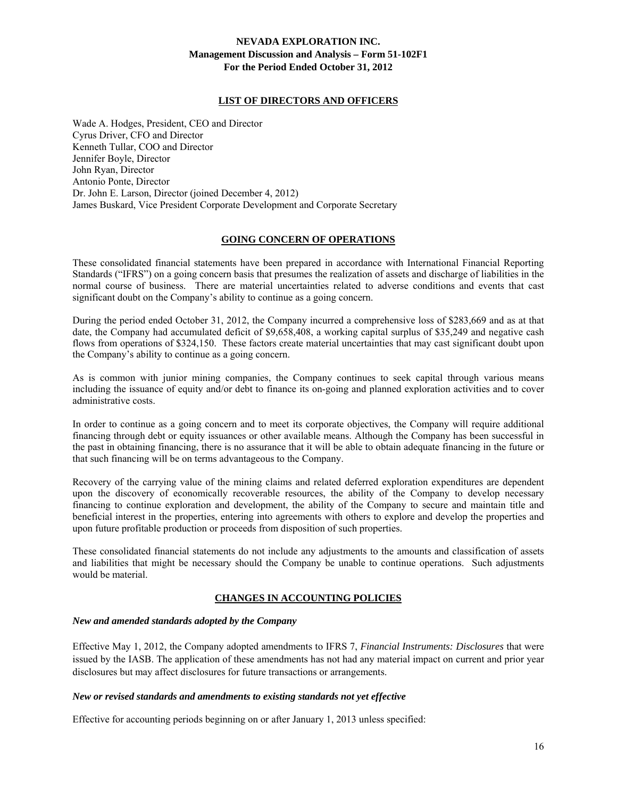### **LIST OF DIRECTORS AND OFFICERS**

Wade A. Hodges, President, CEO and Director Cyrus Driver, CFO and Director Kenneth Tullar, COO and Director Jennifer Boyle, Director John Ryan, Director Antonio Ponte, Director Dr. John E. Larson, Director (joined December 4, 2012) James Buskard, Vice President Corporate Development and Corporate Secretary

#### **GOING CONCERN OF OPERATIONS**

These consolidated financial statements have been prepared in accordance with International Financial Reporting Standards ("IFRS") on a going concern basis that presumes the realization of assets and discharge of liabilities in the normal course of business. There are material uncertainties related to adverse conditions and events that cast significant doubt on the Company's ability to continue as a going concern.

During the period ended October 31, 2012, the Company incurred a comprehensive loss of \$283,669 and as at that date, the Company had accumulated deficit of \$9,658,408, a working capital surplus of \$35,249 and negative cash flows from operations of \$324,150. These factors create material uncertainties that may cast significant doubt upon the Company's ability to continue as a going concern.

As is common with junior mining companies, the Company continues to seek capital through various means including the issuance of equity and/or debt to finance its on-going and planned exploration activities and to cover administrative costs.

In order to continue as a going concern and to meet its corporate objectives, the Company will require additional financing through debt or equity issuances or other available means. Although the Company has been successful in the past in obtaining financing, there is no assurance that it will be able to obtain adequate financing in the future or that such financing will be on terms advantageous to the Company.

Recovery of the carrying value of the mining claims and related deferred exploration expenditures are dependent upon the discovery of economically recoverable resources, the ability of the Company to develop necessary financing to continue exploration and development, the ability of the Company to secure and maintain title and beneficial interest in the properties, entering into agreements with others to explore and develop the properties and upon future profitable production or proceeds from disposition of such properties.

These consolidated financial statements do not include any adjustments to the amounts and classification of assets and liabilities that might be necessary should the Company be unable to continue operations. Such adjustments would be material.

# **CHANGES IN ACCOUNTING POLICIES**

#### *New and amended standards adopted by the Company*

Effective May 1, 2012, the Company adopted amendments to IFRS 7, *Financial Instruments: Disclosures* that were issued by the IASB. The application of these amendments has not had any material impact on current and prior year disclosures but may affect disclosures for future transactions or arrangements.

#### *New or revised standards and amendments to existing standards not yet effective*

Effective for accounting periods beginning on or after January 1, 2013 unless specified: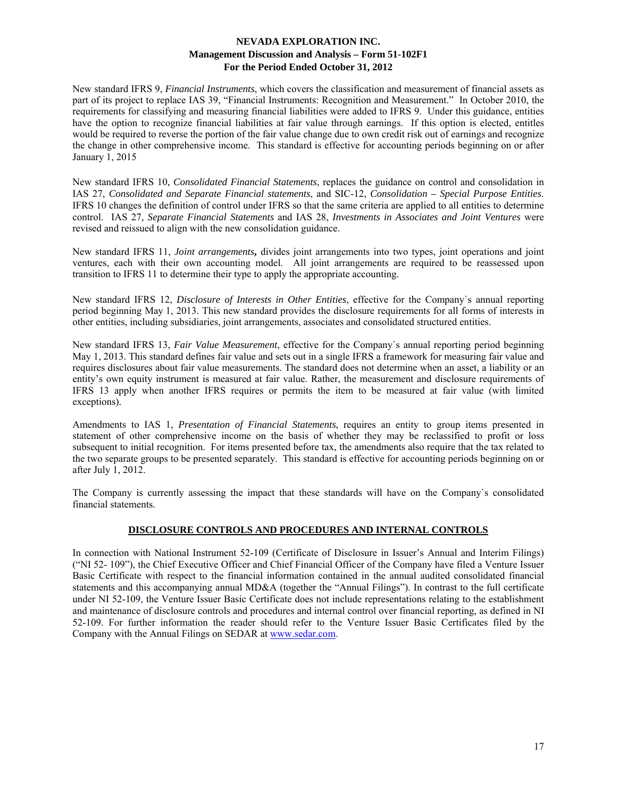New standard IFRS 9, *Financial Instruments*, which covers the classification and measurement of financial assets as part of its project to replace IAS 39, "Financial Instruments: Recognition and Measurement." In October 2010, the requirements for classifying and measuring financial liabilities were added to IFRS 9. Under this guidance, entities have the option to recognize financial liabilities at fair value through earnings. If this option is elected, entitles would be required to reverse the portion of the fair value change due to own credit risk out of earnings and recognize the change in other comprehensive income. This standard is effective for accounting periods beginning on or after January 1, 2015

New standard IFRS 10, *Consolidated Financial Statements*, replaces the guidance on control and consolidation in IAS 27, *Consolidated and Separate Financial statements*, and SIC-12, *Consolidation – Special Purpose Entities*. IFRS 10 changes the definition of control under IFRS so that the same criteria are applied to all entities to determine control. IAS 27, *Separate Financial Statements* and IAS 28, *Investments in Associates and Joint Ventures* were revised and reissued to align with the new consolidation guidance.

New standard IFRS 11, *Joint arrangements***,** divides joint arrangements into two types, joint operations and joint ventures, each with their own accounting model. All joint arrangements are required to be reassessed upon transition to IFRS 11 to determine their type to apply the appropriate accounting.

New standard IFRS 12, *Disclosure of Interests in Other Entities*, effective for the Company`s annual reporting period beginning May 1, 2013. This new standard provides the disclosure requirements for all forms of interests in other entities, including subsidiaries, joint arrangements, associates and consolidated structured entities.

New standard IFRS 13, *Fair Value Measurement*, effective for the Company`s annual reporting period beginning May 1, 2013. This standard defines fair value and sets out in a single IFRS a framework for measuring fair value and requires disclosures about fair value measurements. The standard does not determine when an asset, a liability or an entity's own equity instrument is measured at fair value. Rather, the measurement and disclosure requirements of IFRS 13 apply when another IFRS requires or permits the item to be measured at fair value (with limited exceptions).

Amendments to IAS 1, *Presentation of Financial Statements*, requires an entity to group items presented in statement of other comprehensive income on the basis of whether they may be reclassified to profit or loss subsequent to initial recognition. For items presented before tax, the amendments also require that the tax related to the two separate groups to be presented separately. This standard is effective for accounting periods beginning on or after July 1, 2012.

The Company is currently assessing the impact that these standards will have on the Company`s consolidated financial statements.

# **DISCLOSURE CONTROLS AND PROCEDURES AND INTERNAL CONTROLS**

In connection with National Instrument 52-109 (Certificate of Disclosure in Issuer's Annual and Interim Filings) ("NI 52- 109"), the Chief Executive Officer and Chief Financial Officer of the Company have filed a Venture Issuer Basic Certificate with respect to the financial information contained in the annual audited consolidated financial statements and this accompanying annual MD&A (together the "Annual Filings"). In contrast to the full certificate under NI 52-109, the Venture Issuer Basic Certificate does not include representations relating to the establishment and maintenance of disclosure controls and procedures and internal control over financial reporting, as defined in NI 52-109. For further information the reader should refer to the Venture Issuer Basic Certificates filed by the Company with the Annual Filings on SEDAR at www.sedar.com.